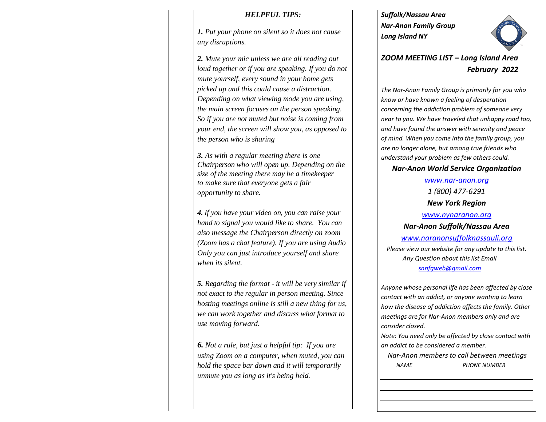## *HELPFUL TIPS:*

*1. Put your phone on silent so it does not cause any disruptions.*

*2. Mute your mic unless we are all reading out loud together or if you are speaking. If you do not mute yourself, every sound in your home gets picked up and this could cause a distraction. Depending on what viewing mode you are using, the main screen focuses on the person speaking. So if you are not muted but noise is coming from your end, the screen will show you, as opposed to the person who is sharing*

*3. As with a regular meeting there is one Chairperson who will open up. Depending on the size of the meeting there may be a timekeeper to make sure that everyone gets a fair opportunity to share.*

*4. If you have your video on, you can raise your hand to signal you would like to share. You can also message the Chairperson directly on zoom (Zoom has a chat feature). If you are using Audio Only you can just introduce yourself and share when its silent.* 

*5. Regarding the format - it will be very similar if not exact to the regular in person meeting. Since hosting meetings online is still a new thing for us, we can work together and discuss what format to use moving forward.*

*6. Not a rule, but just a helpful tip: If you are using Zoom on a computer, when muted, you can hold the space bar down and it will temporarily unmute you as long as it's being held.* 

*Suffolk/Nassau Area Nar-Anon Family Group Long Island NY* 



*ZOOM MEETING LIST – Long Island Area February 2022*

*The Nar-Anon Family Group is primarily for you who know or have known a feeling of desperation concerning the addiction problem of someone very near to you. We have traveled that unhappy road too, and have found the answer with serenity and peace of mind. When you come into the family group, you are no longer alone, but among true friends who understand your problem as few others could.* 

# *Nar-Anon World Service Organization*

*[www.nar-anon.org](http://www.nar-anon.org/) 1 (800) 477-6291 New York Region*

*[www.nynaranon.org](http://www.nynaranon.org/) Nar-Anon Suffolk/Nassau Area [www.naranonsuffolknassauli.org](http://www.naranonsuffolknassauli.org/) Please view our website for any update to this list. Any Question about this list Email [snnfgweb@gmail.com](mailto:snnfgweb@gmail.com)*

*Anyone whose personal life has been affected by close contact with an addict, or anyone wanting to learn how the disease of addiction affects the family. Other meetings are for Nar-Anon members only and are consider closed.*

*Note: You need only be affected by close contact with an addict to be considered a member.*

 *Nar-Anon members to call between meetings NAME PHONE NUMBER*